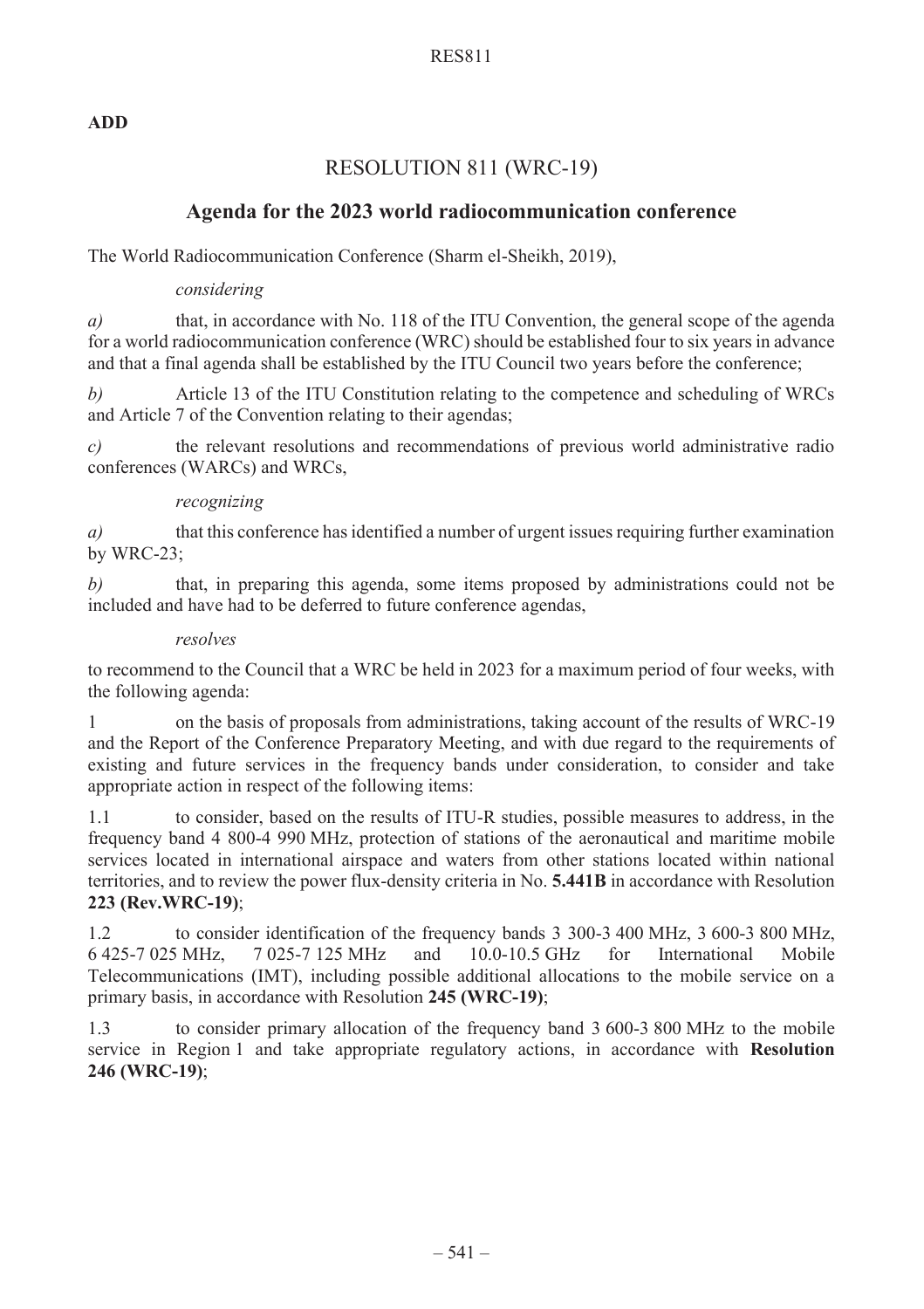## RES811

## **ADD**

# RESOLUTION 811 (WRC-19)

# **Agenda for the 2023 world radiocommunication conference**

The World Radiocommunication Conference (Sharm el-Sheikh, 2019),

## *considering*

*a*) that, in accordance with No. 118 of the ITU Convention, the general scope of the agenda for a world radiocommunication conference (WRC) should be established four to six years in advance and that a final agenda shall be established by the ITU Council two years before the conference;

*b*) Article 13 of the ITU Constitution relating to the competence and scheduling of WRCs and Article 7 of the Convention relating to their agendas;

*c)* the relevant resolutions and recommendations of previous world administrative radio conferences (WARCs) and WRCs,

## *recognizing*

*a)* that this conference has identified a number of urgent issues requiring further examination by WRC-23;

*b*) that, in preparing this agenda, some items proposed by administrations could not be included and have had to be deferred to future conference agendas,

### *resolves*

to recommend to the Council that a WRC be held in 2023 for a maximum period of four weeks, with the following agenda:

1 on the basis of proposals from administrations, taking account of the results of WRC-19 and the Report of the Conference Preparatory Meeting, and with due regard to the requirements of existing and future services in the frequency bands under consideration, to consider and take appropriate action in respect of the following items:

1.1 to consider, based on the results of ITU-R studies, possible measures to address, in the frequency band 4 800-4 990 MHz, protection of stations of the aeronautical and maritime mobile services located in international airspace and waters from other stations located within national territories, and to review the power flux-density criteria in No. **5.441B** in accordance with Resolution **223 (Rev.WRC-19)**;

1.2 to consider identification of the frequency bands 3 300-3 400 MHz, 3 600-3 800 MHz, 6 425-7 025 MHz, 7 025-7 125 MHz and 10.0-10.5 GHz for International Mobile Telecommunications (IMT), including possible additional allocations to the mobile service on a primary basis, in accordance with Resolution **245 (WRC-19)**;

1.3 to consider primary allocation of the frequency band 3 600-3 800 MHz to the mobile service in Region 1 and take appropriate regulatory actions, in accordance with **Resolution 246 (WRC-19)**;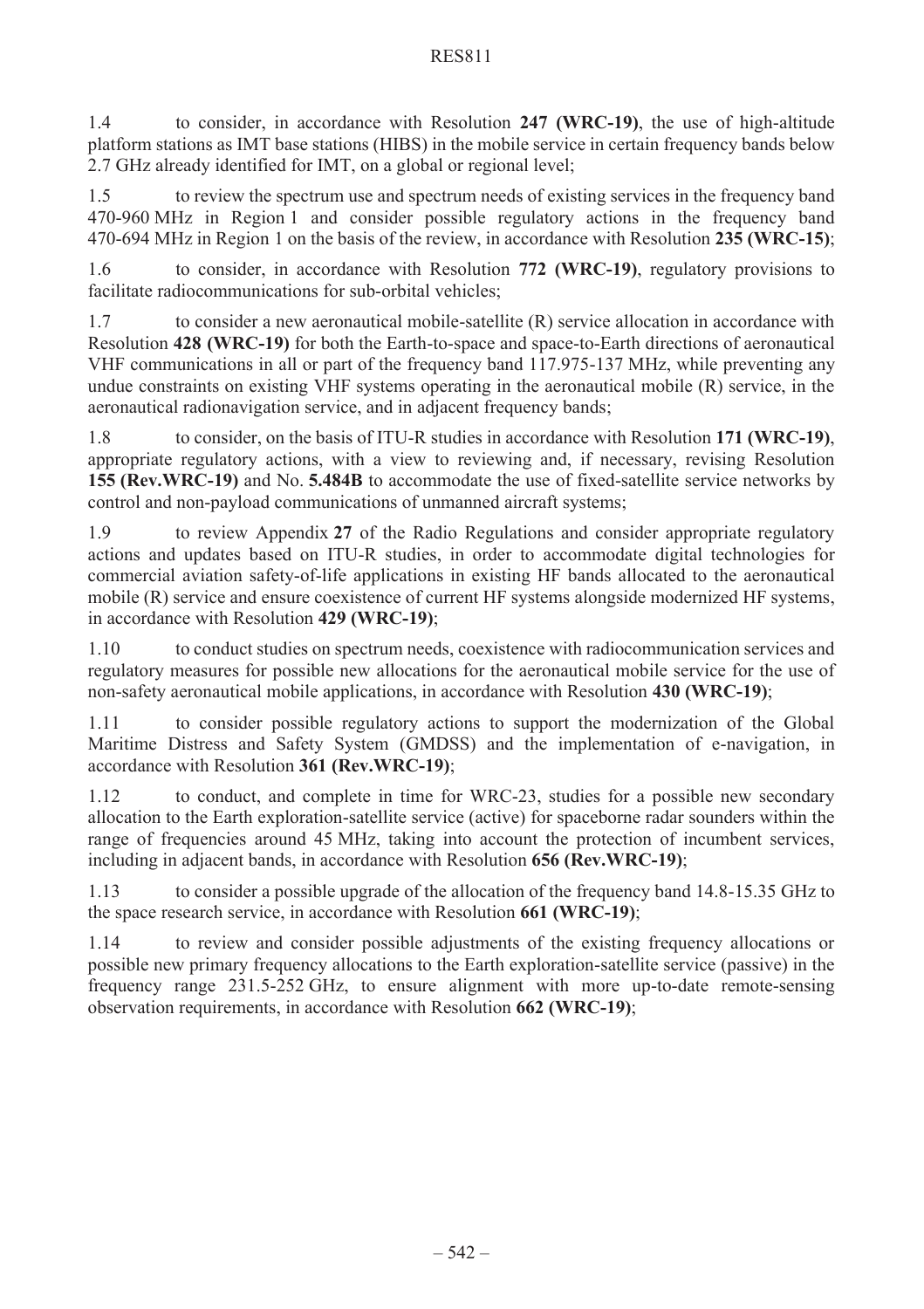## RES811

1.4 to consider, in accordance with Resolution **247 (WRC-19)**, the use of high-altitude platform stations as IMT base stations (HIBS) in the mobile service in certain frequency bands below 2.7 GHz already identified for IMT, on a global or regional level;

1.5 to review the spectrum use and spectrum needs of existing services in the frequency band 470-960 MHz in Region 1 and consider possible regulatory actions in the frequency band 470-694 MHz in Region 1 on the basis of the review, in accordance with Resolution **235 (WRC-15)**;

1.6 to consider, in accordance with Resolution **772 (WRC-19)**, regulatory provisions to facilitate radiocommunications for sub-orbital vehicles;

1.7 to consider a new aeronautical mobile-satellite (R) service allocation in accordance with Resolution **428 (WRC-19)** for both the Earth-to-space and space-to-Earth directions of aeronautical VHF communications in all or part of the frequency band 117.975-137 MHz, while preventing any undue constraints on existing VHF systems operating in the aeronautical mobile (R) service, in the aeronautical radionavigation service, and in adjacent frequency bands;

1.8 to consider, on the basis of ITU-R studies in accordance with Resolution **171 (WRC-19)**, appropriate regulatory actions, with a view to reviewing and, if necessary, revising Resolution **155 (Rev.WRC-19)** and No. **5.484B** to accommodate the use of fixed-satellite service networks by control and non-payload communications of unmanned aircraft systems;

1.9 to review Appendix **27** of the Radio Regulations and consider appropriate regulatory actions and updates based on ITU-R studies, in order to accommodate digital technologies for commercial aviation safety-of-life applications in existing HF bands allocated to the aeronautical mobile (R) service and ensure coexistence of current HF systems alongside modernized HF systems, in accordance with Resolution **429 (WRC-19)**;

1.10 to conduct studies on spectrum needs, coexistence with radiocommunication services and regulatory measures for possible new allocations for the aeronautical mobile service for the use of non-safety aeronautical mobile applications, in accordance with Resolution **430 (WRC-19)**;

1.11 to consider possible regulatory actions to support the modernization of the Global Maritime Distress and Safety System (GMDSS) and the implementation of e-navigation, in accordance with Resolution **361 (Rev.WRC-19)**;

1.12 to conduct, and complete in time for WRC-23, studies for a possible new secondary allocation to the Earth exploration-satellite service (active) for spaceborne radar sounders within the range of frequencies around 45 MHz, taking into account the protection of incumbent services, including in adjacent bands, in accordance with Resolution **656 (Rev.WRC-19)**;

1.13 to consider a possible upgrade of the allocation of the frequency band 14.8-15.35 GHz to the space research service, in accordance with Resolution **661 (WRC-19)**;

1.14 to review and consider possible adjustments of the existing frequency allocations or possible new primary frequency allocations to the Earth exploration-satellite service (passive) in the frequency range 231.5-252 GHz, to ensure alignment with more up-to-date remote-sensing observation requirements, in accordance with Resolution **662 (WRC-19)**;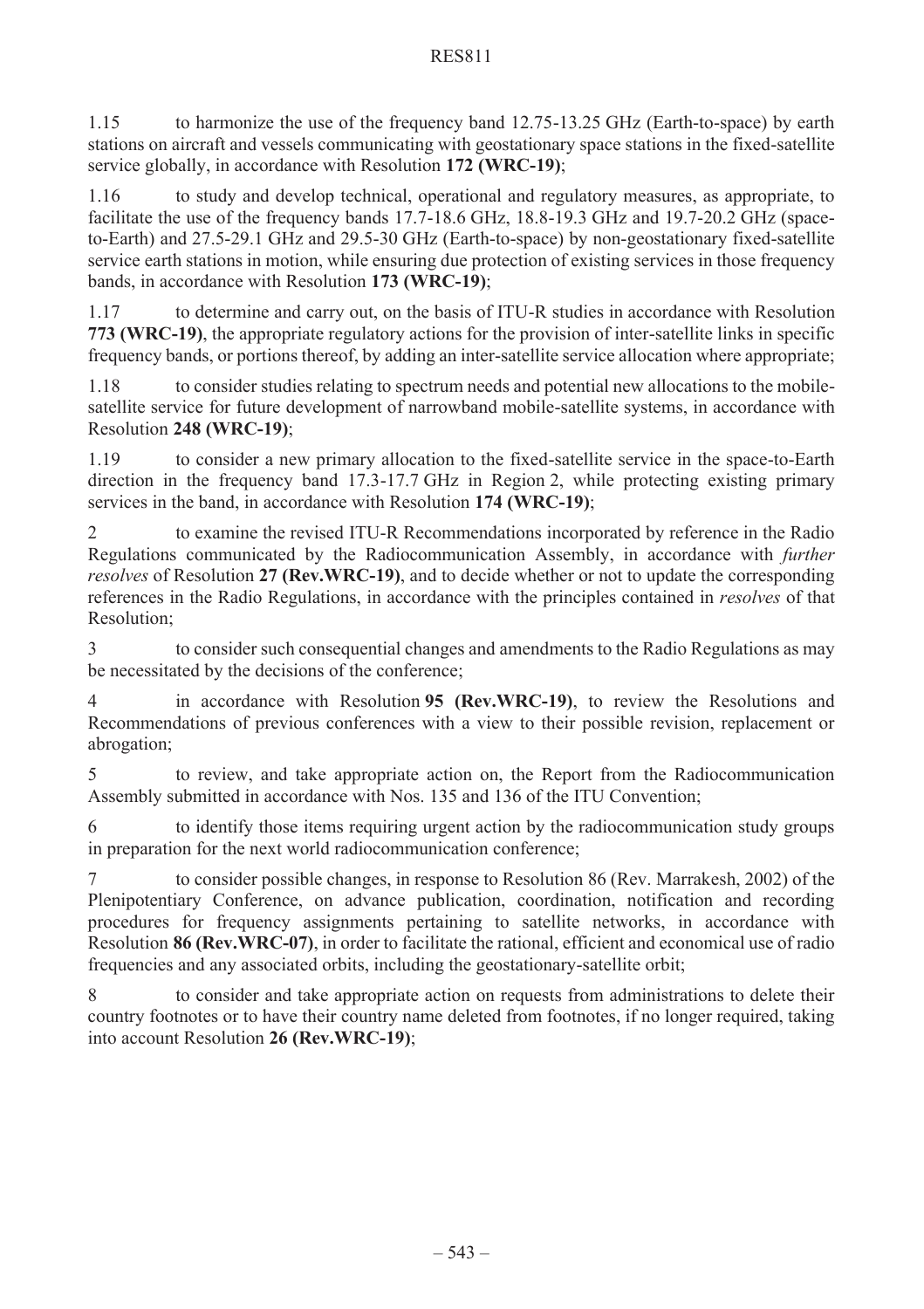1.15 to harmonize the use of the frequency band 12.75-13.25 GHz (Earth-to-space) by earth stations on aircraft and vessels communicating with geostationary space stations in the fixed-satellite service globally, in accordance with Resolution **172 (WRC-19)**;

1.16 to study and develop technical, operational and regulatory measures, as appropriate, to facilitate the use of the frequency bands 17.7-18.6 GHz, 18.8-19.3 GHz and 19.7-20.2 GHz (spaceto-Earth) and 27.5-29.1 GHz and 29.5-30 GHz (Earth-to-space) by non-geostationary fixed-satellite service earth stations in motion, while ensuring due protection of existing services in those frequency bands, in accordance with Resolution **173 (WRC-19)**;

1.17 to determine and carry out, on the basis of ITU-R studies in accordance with Resolution **773 (WRC-19)**, the appropriate regulatory actions for the provision of inter-satellite links in specific frequency bands, or portions thereof, by adding an inter-satellite service allocation where appropriate;

1.18 to consider studies relating to spectrum needs and potential new allocations to the mobilesatellite service for future development of narrowband mobile-satellite systems, in accordance with Resolution **248 (WRC-19)**;

1.19 to consider a new primary allocation to the fixed-satellite service in the space-to-Earth direction in the frequency band 17.3-17.7 GHz in Region 2, while protecting existing primary services in the band, in accordance with Resolution **174 (WRC-19)**;

2 to examine the revised ITU-R Recommendations incorporated by reference in the Radio Regulations communicated by the Radiocommunication Assembly, in accordance with *further resolves* of Resolution **27 (Rev.WRC-19)**, and to decide whether or not to update the corresponding references in the Radio Regulations, in accordance with the principles contained in *resolves* of that Resolution;

3 to consider such consequential changes and amendments to the Radio Regulations as may be necessitated by the decisions of the conference;

4 in accordance with Resolution **95 (Rev.WRC-19)**, to review the Resolutions and Recommendations of previous conferences with a view to their possible revision, replacement or abrogation;

5 to review, and take appropriate action on, the Report from the Radiocommunication Assembly submitted in accordance with Nos. 135 and 136 of the ITU Convention;

6 to identify those items requiring urgent action by the radiocommunication study groups in preparation for the next world radiocommunication conference;

7 to consider possible changes, in response to Resolution 86 (Rev. Marrakesh, 2002) of the Plenipotentiary Conference, on advance publication, coordination, notification and recording procedures for frequency assignments pertaining to satellite networks, in accordance with Resolution **86 (Rev.WRC-07)**, in order to facilitate the rational, efficient and economical use of radio frequencies and any associated orbits, including the geostationary-satellite orbit;

to consider and take appropriate action on requests from administrations to delete their country footnotes or to have their country name deleted from footnotes, if no longer required, taking into account Resolution **26 (Rev.WRC-19)**;